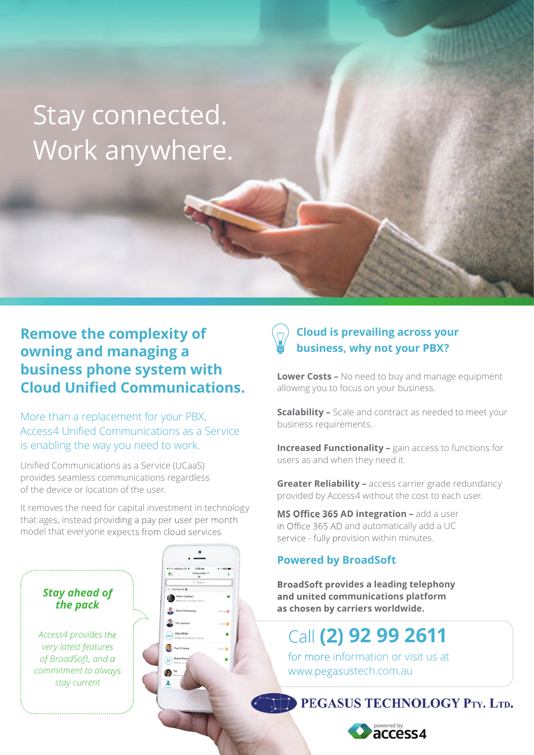# Stay connected. Work anywhere.

### **Remove the complexity of owning and managing a business phone system with Cloud Unified Communications.**

More than a replacement for your PBX, Access4 Unified Communications as a Service is enabling the way you need to work.

Unified Communications as a Service (UCaaS) provides seamless communications regardless of the device or location of the user.

It removes the need for capital investment in technology that ages, instead providing a pay per user per month model that everyone expects from cloud services.



*Access4 provides the very latest features of BroadSoft, and a commitment to always stay current*



### **Cloud is prevailing across your business, why not your PBX?**

**Lower Costs –** No need to buy and manage equipment allowing you to focus on your business.

**Scalability –** Scale and contract as needed to meet your business requirements.

**Increased Functionality -** gain access to functions for users as and when they need it.

**Greater Reliability –** access carrier grade redundancy provided by Access4 without the cost to each user.

**MS Office 365 AD integration - add a user** in Office 365 AD and automatically add a UC service - fully provision within minutes.

### **Powered by BroadSoft**

**BroadSoft provides a leading telephony and united communications platform as chosen by carriers worldwide.**

### Call **(2) 92 99 2611**

for more information or visit us at www.pegasustech.com.au

PEGASUS TECHNOLOGY PTY. LTD.